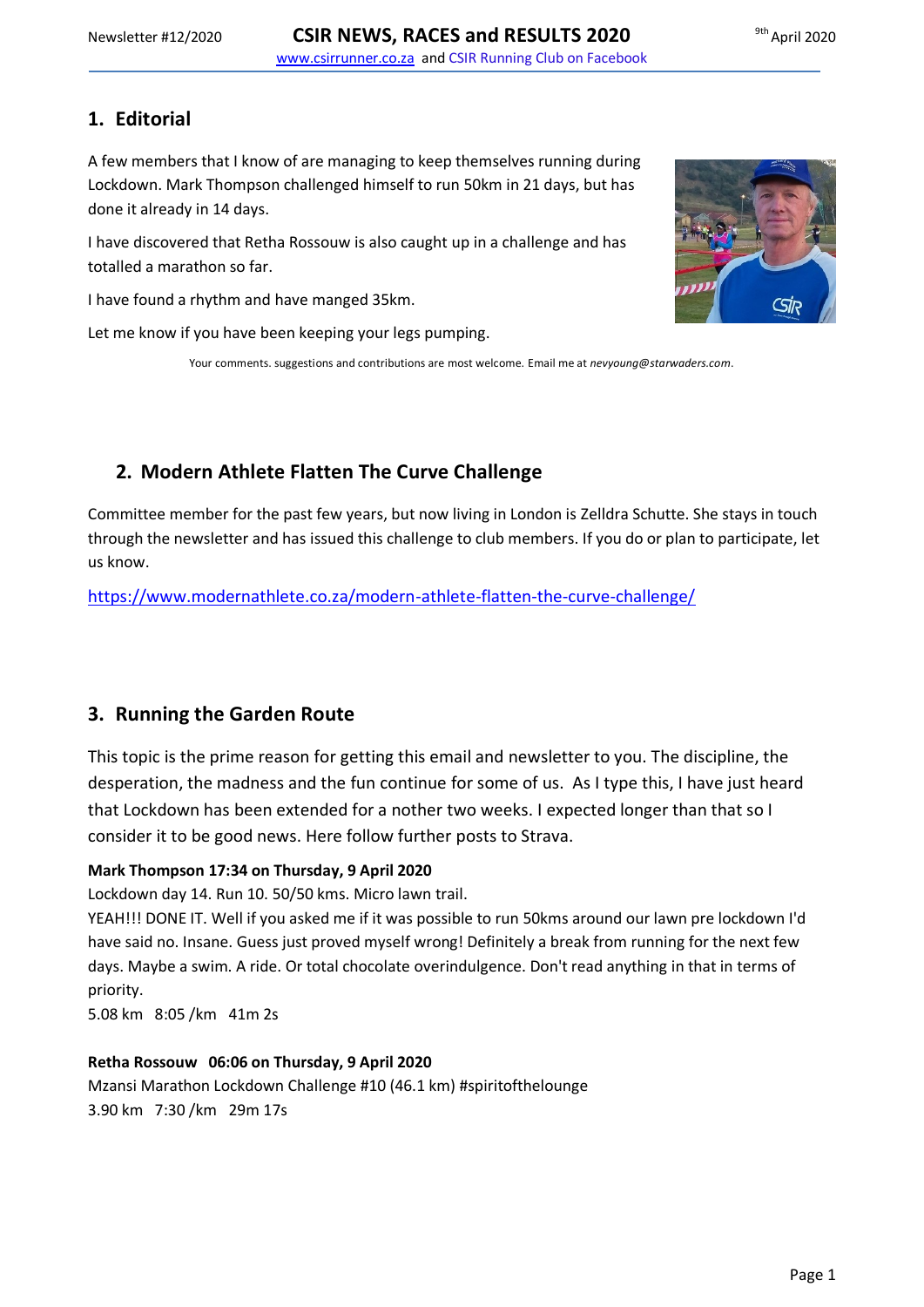# **1. Editorial**

A few members that I know of are managing to keep themselves running during Lockdown. Mark Thompson challenged himself to run 50km in 21 days, but has done it already in 14 days.

I have discovered that Retha Rossouw is also caught up in a challenge and has totalled a marathon so far.

I have found a rhythm and have manged 35km.

Let me know if you have been keeping your legs pumping.

Your comments. suggestions and contributions are most welcome. Email me at *nevyoung@starwaders.com*.

# **2. Modern Athlete Flatten The Curve Challenge**

Committee member for the past few years, but now living in London is Zelldra Schutte. She stays in touch through the newsletter and has issued this challenge to club members. If you do or plan to participate, let us know.

<https://www.modernathlete.co.za/modern-athlete-flatten-the-curve-challenge/>

## **3. Running the Garden Route**

This topic is the prime reason for getting this email and newsletter to you. The discipline, the desperation, the madness and the fun continue for some of us. As I type this, I have just heard that Lockdown has been extended for a nother two weeks. I expected longer than that so I consider it to be good news. Here follow further posts to Strava.

## **Mark Thompson 17:34 on Thursday, 9 April 2020**

Lockdown day 14. Run 10. 50/50 kms. Micro lawn trail.

YEAH!!! DONE IT. Well if you asked me if it was possible to run 50kms around our lawn pre lockdown I'd have said no. Insane. Guess just proved myself wrong! Definitely a break from running for the next few days. Maybe a swim. A ride. Or total chocolate overindulgence. Don't read anything in that in terms of priority.

5.08 km 8:05 /km 41m 2s

## **Retha Rossouw 06:06 on Thursday, 9 April 2020**

Mzansi Marathon Lockdown Challenge #10 (46.1 km) #spiritofthelounge 3.90 km 7:30 /km 29m 17s

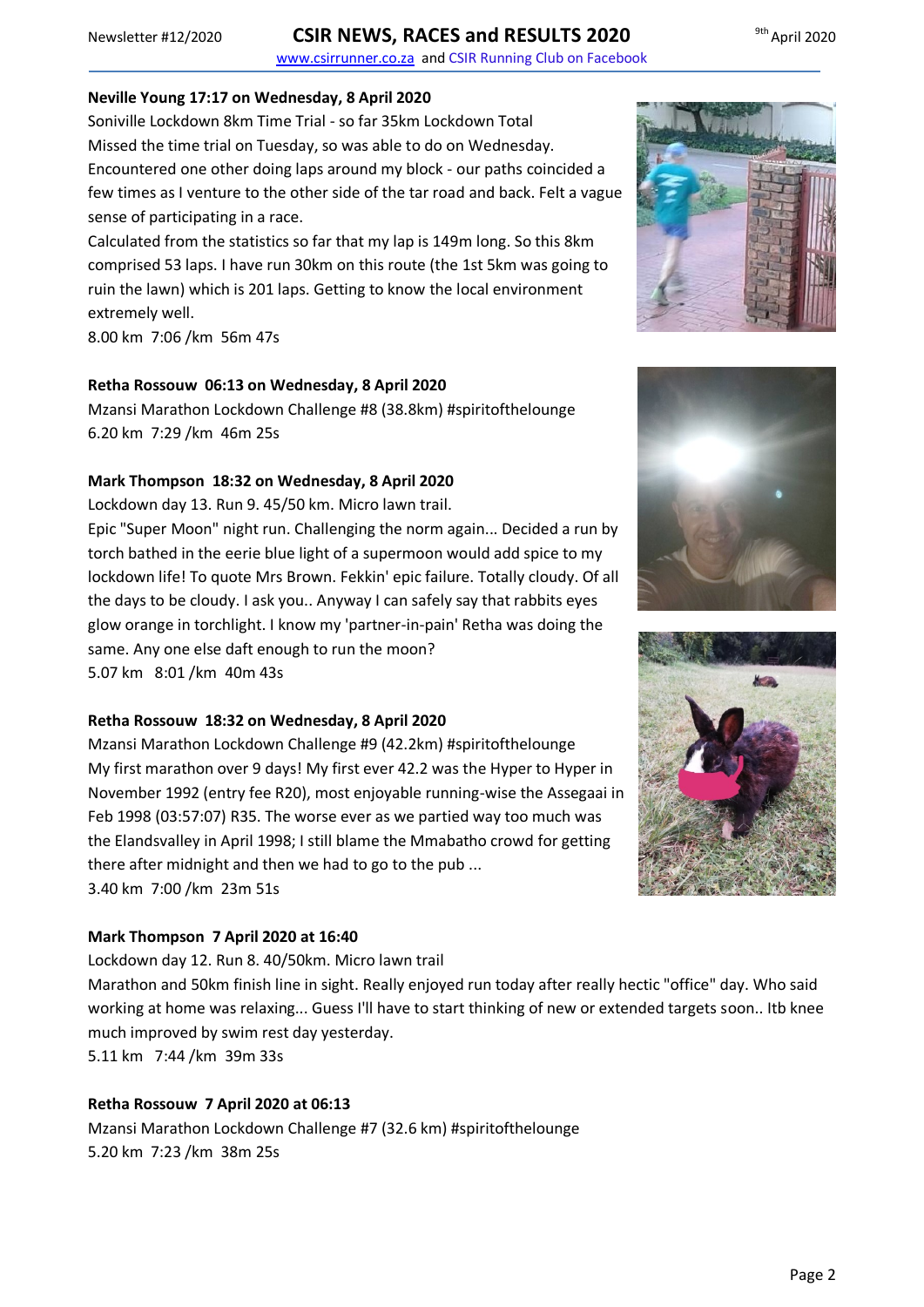# Newsletter #12/2020 **CSIR NEWS, RACES and RESULTS 2020**

www.csirrunner.co.za and CSIR Running Club on Facebook

#### **Neville Young 17:17 on Wednesday, 8 April 2020**

Soniville Lockdown 8km Time Trial - so far 35km Lockdown Total Missed the time trial on Tuesday, so was able to do on Wednesday. Encountered one other doing laps around my block - our paths coincided a few times as I venture to the other side of the tar road and back. Felt a vague sense of participating in a race.

Calculated from the statistics so far that my lap is 149m long. So this 8km comprised 53 laps. I have run 30km on this route (the 1st 5km was going to ruin the lawn) which is 201 laps. Getting to know the local environment extremely well.

8.00 km 7:06 /km 56m 47s

### **Retha Rossouw 06:13 on Wednesday, 8 April 2020**

Mzansi Marathon Lockdown Challenge #8 (38.8km) #spiritofthelounge 6.20 km 7:29 /km 46m 25s

#### **Mark Thompson 18:32 on Wednesday, 8 April 2020**

Lockdown day 13. Run 9. 45/50 km. Micro lawn trail.

Epic "Super Moon" night run. Challenging the norm again... Decided a run by torch bathed in the eerie blue light of a supermoon would add spice to my lockdown life! To quote Mrs Brown. Fekkin' epic failure. Totally cloudy. Of all the days to be cloudy. I ask you.. Anyway I can safely say that rabbits eyes glow orange in torchlight. I know my 'partner-in-pain' Retha was doing the same. Any one else daft enough to run the moon?

5.07 km 8:01 /km 40m 43s

## **Retha Rossouw 18:32 on Wednesday, 8 April 2020**

Mzansi Marathon Lockdown Challenge #9 (42.2km) #spiritofthelounge My first marathon over 9 days! My first ever 42.2 was the Hyper to Hyper in November 1992 (entry fee R20), most enjoyable running-wise the Assegaai in Feb 1998 (03:57:07) R35. The worse ever as we partied way too much was the Elandsvalley in April 1998; I still blame the Mmabatho crowd for getting there after midnight and then we had to go to the pub ... 3.40 km 7:00 /km 23m 51s

### **Mark Thompson 7 April 2020 at 16:40**

Lockdown day 12. Run 8. 40/50km. Micro lawn trail

Marathon and 50km finish line in sight. Really enjoyed run today after really hectic "office" day. Who said working at home was relaxing... Guess I'll have to start thinking of new or extended targets soon.. Itb knee much improved by swim rest day yesterday.

5.11 km 7:44 /km 39m 33s

### **Retha Rossouw 7 April 2020 at 06:13**

Mzansi Marathon Lockdown Challenge #7 (32.6 km) #spiritofthelounge 5.20 km 7:23 /km 38m 25s